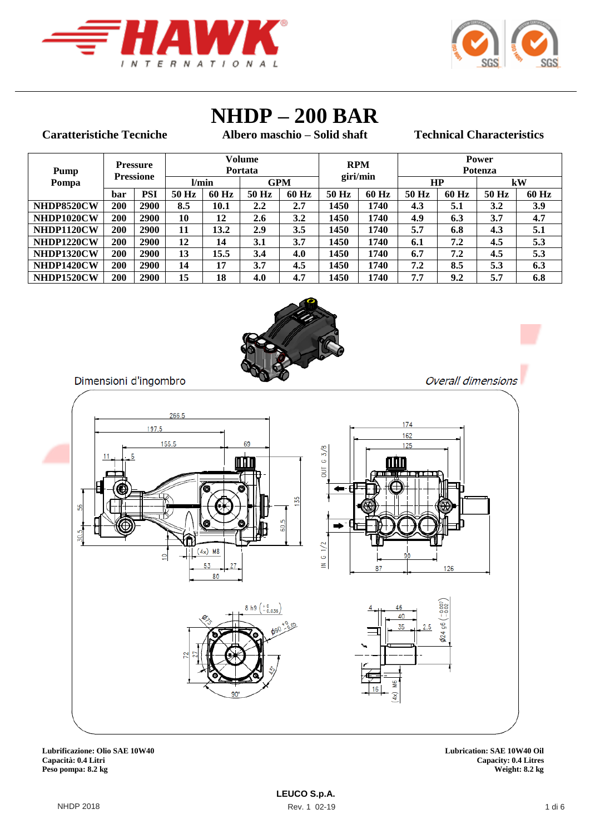



# **NHDP – 200 BAR**

#### **Caratteristiche Tecniche**

**Albero maschio – Solid shaft Technical Characteristics**

Overall dimensions

| Pump       |     | <b>Pressure</b><br><b>Pressione</b> | Volume<br>Portata |       |       |            | <b>RPM</b><br>giri/min |       | <b>Power</b><br><b>Potenza</b><br>HP |         |       |       |  |  |  |  |
|------------|-----|-------------------------------------|-------------------|-------|-------|------------|------------------------|-------|--------------------------------------|---------|-------|-------|--|--|--|--|
| Pompa      |     |                                     | l/min             |       |       | <b>GPM</b> |                        |       |                                      |         | kW    |       |  |  |  |  |
|            | bar | <b>PSI</b>                          | 50 Hz             | 60 Hz | 50 Hz | 60 Hz      | 50 Hz                  | 60 Hz | 50 Hz                                | $60$ Hz | 50 Hz | 60 Hz |  |  |  |  |
| NHDP8520CW | 200 | 2900                                | 8.5               | 10.1  | 2.2   | 2.7        | 1450                   | 1740  | 4.3                                  | 5.1     | 3.2   | 3.9   |  |  |  |  |
| NHDP1020CW | 200 | 2900                                | 10                | 12    | 2.6   | 3.2        | 1450                   | 1740  | 4.9                                  | 6.3     | 3.7   | 4.7   |  |  |  |  |
| NHDP1120CW | 200 | 2900                                | 11                | 13.2  | 2.9   | 3.5        | 1450                   | 1740  | 5.7                                  | 6.8     | 4.3   | 5.1   |  |  |  |  |
| NHDP1220CW | 200 | 2900                                | 12                | 14    | 3.1   | 3.7        | 1450                   | 1740  | 6.1                                  | 7.2     | 4.5   | 5.3   |  |  |  |  |
| NHDP1320CW | 200 | 2900                                | 13                | 15.5  | 3.4   | 4.0        | 1450                   | 1740  | 6.7                                  | 7.2     | 4.5   | 5.3   |  |  |  |  |
| NHDP1420CW | 200 | 2900                                | 14                | 17    | 3.7   | 4.5        | 1450                   | 1740  | 7.2                                  | 8.5     | 5.3   | 6.3   |  |  |  |  |
| NHDP1520CW | 200 | 2900                                | 15                | 18    | 4.0   | 4.7        | 1450                   | 1740  | 7.7                                  | 9.2     | 5.7   | 6.8   |  |  |  |  |



Dimensioni d'ingombro



**LEUCO S.p.A.** 

**Lubrificazione: Olio SAE 10W40 Lubrication: SAE 10W40 Oil Capacità: 0.4 Litri Capacity: 0.4 Litres Peso pompa: 8.2 kg Weight: 8.2 kg**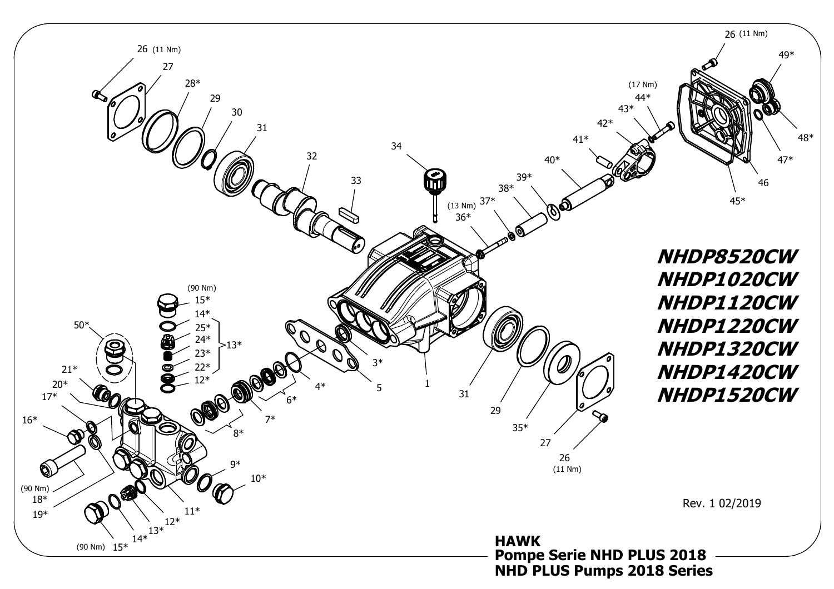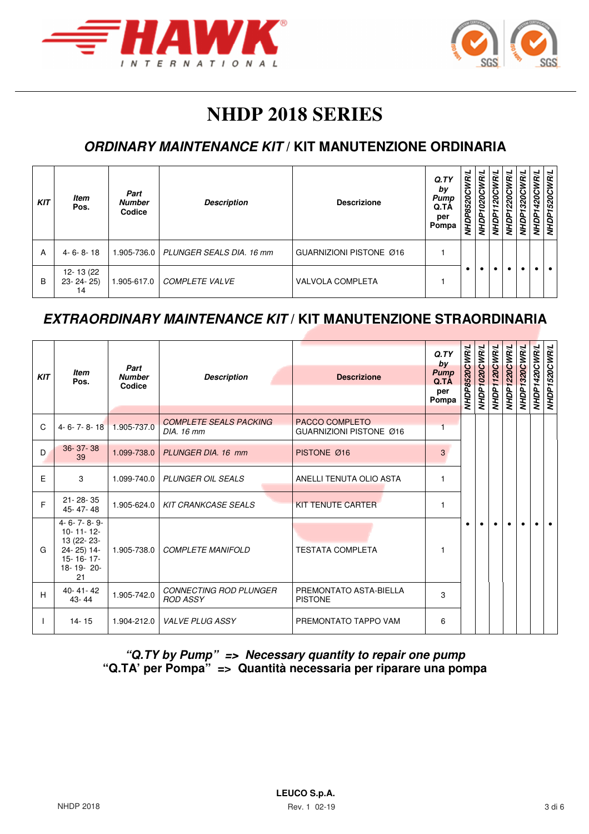



# **NHDP 2018 SERIES**

### **ORDINARY MAINTENANCE KIT / KIT MANUTENZIONE ORDINARIA**

| <b>KIT</b> | <b>Item</b><br>Pos.                | Part<br><b>Number</b><br>Codice | <b>Description</b>       | <b>Descrizione</b>      | Q. TY<br>by<br>Pump<br>Q.TA<br>per<br>Pompa | WR/L<br><b>P8520C</b><br>ÑМ | œ | N | N | RΙ<br>c<br>$\sim$<br>ЯŃ | <b>WR/L</b><br>520C<br>∽<br>NНDI |
|------------|------------------------------------|---------------------------------|--------------------------|-------------------------|---------------------------------------------|-----------------------------|---|---|---|-------------------------|----------------------------------|
| A          | $4 - 6 - 8 - 18$                   | 1.905-736.0                     | PLUNGER SEALS DIA. 16 mm | GUARNIZIONI PISTONE Ø16 |                                             |                             |   |   |   |                         |                                  |
| B          | 12-13 (22)<br>$23 - 24 - 25$<br>14 | 1.905-617.0                     | <b>COMPLETE VALVE</b>    | <b>VALVOLA COMPLETA</b> |                                             |                             |   |   |   |                         |                                  |

### **EXTRAORDINARY MAINTENANCE KIT / KIT MANUTENZIONE STRAORDINARIA**

| <b>KIT</b> | <b>Item</b><br>Pos.                                                                      | Part<br><b>Number</b><br>Codice | <b>Description</b>                               | <b>Descrizione</b>                        | Q. TY<br>by<br><b>Pump</b><br>Q.TÀ<br>per<br>Pompa | NHDP8520CWR/L | NHDP1020CWR/L | NHDP1120CWR/L | NHDP1220CWR/L | NHDP1320CWR/L | NHDP1420CWR/L | NHDP1520CWR/L |
|------------|------------------------------------------------------------------------------------------|---------------------------------|--------------------------------------------------|-------------------------------------------|----------------------------------------------------|---------------|---------------|---------------|---------------|---------------|---------------|---------------|
| C          | $4 - 6 - 7 - 8 - 18$                                                                     | 1.905-737.0                     | <b>COMPLETE SEALS PACKING</b><br>DIA, 16 mm      | PACCO COMPLETO<br>GUARNIZIONI PISTONE Ø16 |                                                    |               |               |               |               |               |               |               |
| D          | 36-37-38<br>39                                                                           | 1.099-738.0                     | PLUNGER DIA, 16 mm                               | PISTONE Ø16                               | 3                                                  |               |               |               |               |               |               |               |
| E          | 3                                                                                        | 1.099-740.0                     | <b>PLUNGER OIL SEALS</b>                         | ANELLI TENUTA OLIO ASTA                   | 1                                                  |               |               |               |               |               |               |               |
| F          | 21-28-35<br>45-47-48                                                                     | 1.905-624.0                     | <b>KIT CRANKCASE SEALS</b>                       | <b>KIT TENUTE CARTER</b>                  | 1                                                  |               |               |               |               |               |               |               |
| G          | 4-6-7-8-9-<br>$10 - 11 - 12$<br>13 (22-23-<br>24-25) 14-<br>15-16-17-<br>18-19-20-<br>21 | 1.905-738.0                     | <b>COMPLETE MANIFOLD</b>                         | <b>TESTATA COMPLETA</b>                   | 1                                                  |               |               |               |               |               |               |               |
| H          | $40 - 41 - 42$<br>$43 - 44$                                                              | 1.905-742.0                     | <b>CONNECTING ROD PLUNGER</b><br><b>ROD ASSY</b> | PREMONTATO ASTA-BIELLA<br><b>PISTONE</b>  | 3                                                  |               |               |               |               |               |               |               |
|            | $14 - 15$                                                                                | 1.904-212.0                     | <b>VALVE PLUG ASSY</b>                           | PREMONTATO TAPPO VAM                      | 6                                                  |               |               |               |               |               |               |               |

#### **"Q.TY by Pump" => Necessary quantity to repair one pump "Q.TA' per Pompa" => Quantità necessaria per riparare una pompa**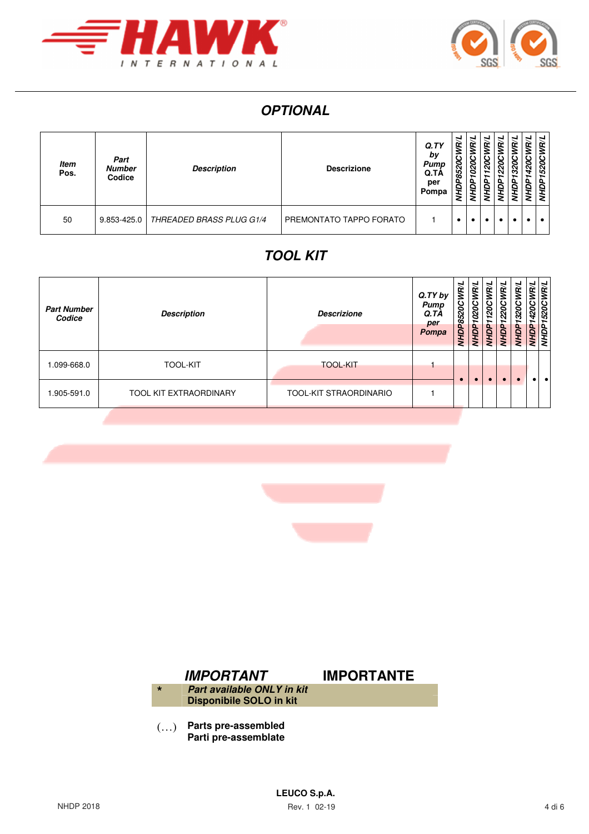



# **OPTIONAL**

| <b>Item</b><br>Pos. | Part<br><b>Number</b><br>Codice | <b>Description</b>              | <b>Descrizione</b>      | Q. TY<br>by<br>Pump<br>Q.TA<br>per<br>Pompa | <b>WR/L</b><br>8520C<br>NHDP. | <b>RIL</b><br>≤<br>1020C<br>ЙGHD | œ<br>ରି<br>∽<br>Э | œ<br>220<br>ð | <b>R/L</b><br>ပ<br>320<br>ę | ₹<br>œ<br>420<br>£ | ΡN<br>÷<br>520<br>ЪP |
|---------------------|---------------------------------|---------------------------------|-------------------------|---------------------------------------------|-------------------------------|----------------------------------|-------------------|---------------|-----------------------------|--------------------|----------------------|
| 50                  | 9.853-425.0                     | <b>THREADED BRASS PLUG G1/4</b> | PREMONTATO TAPPO FORATO |                                             |                               |                                  |                   |               |                             |                    |                      |

## **TOOL KIT**

| <b>Part Number</b><br>Codice | <b>Description</b>            | <b>Descrizione</b>     | Q.TY by<br>Pump<br>Q.TA<br>per<br>Pompa | NHDP8520CWR/L | 1020CWR/L<br>NHDP <sub>1</sub> | 120CWR/L<br>∽<br>NHDP | 220CWR/L<br>NHDP | ίeι<br>S<br>320<br>ÑИЙ | <b>R</b><br>420<br>NHDP<br>NHDP | <b>WR/L</b><br>520C<br>∽ |
|------------------------------|-------------------------------|------------------------|-----------------------------------------|---------------|--------------------------------|-----------------------|------------------|------------------------|---------------------------------|--------------------------|
| 0.099-668.0                  | <b>TOOL-KIT</b>               | <b>TOOL-KIT</b>        |                                         |               |                                |                       |                  |                        |                                 |                          |
| .905-591.0                   | <b>TOOL KIT EXTRAORDINARY</b> | TOOL-KIT STRAORDINARIO |                                         |               |                                |                       |                  |                        |                                 |                          |





(…) **Parts pre-assembled Parti pre-assemblate**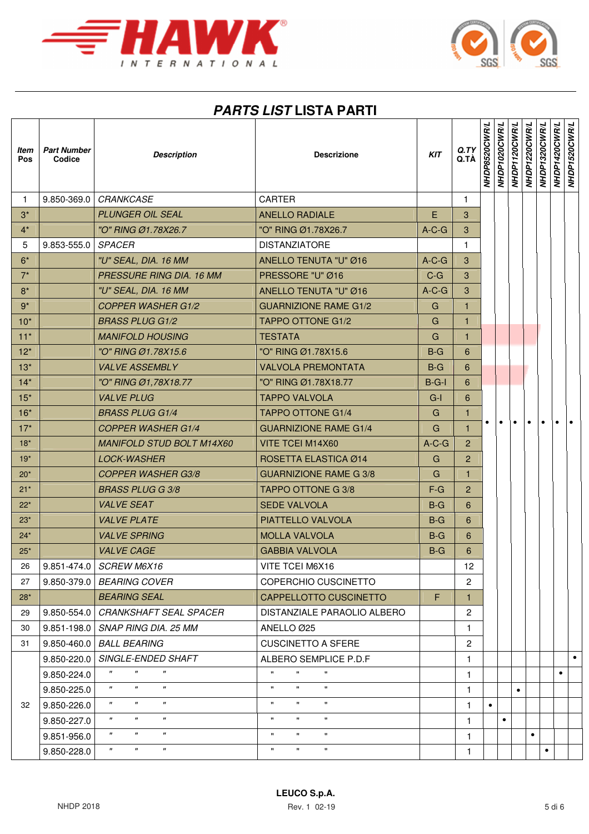



# **PARTS LIST LISTA PARTI**

| ltem<br>Pos     | <b>Part Number</b><br>Codice | <b>Description</b>                                                           | <b>Descrizione</b>                                   | KIT     | Q. TY<br>Q.TÀ  | NHDP8520CWR/L | NHDP1020CWR/L | WHDP1120CWR/L | NHDP1220CWR/L | NHDP1320CWR/L | NHDP1420CWR/L | <b>NHDP1520CWR/L</b> |
|-----------------|------------------------------|------------------------------------------------------------------------------|------------------------------------------------------|---------|----------------|---------------|---------------|---------------|---------------|---------------|---------------|----------------------|
| $\mathbf{1}$    |                              | 9.850-369.0   CRANKCASE                                                      | <b>CARTER</b>                                        |         | 1              |               |               |               |               |               |               |                      |
| $3^*$           |                              | <b>PLUNGER OIL SEAL</b>                                                      | <b>ANELLO RADIALE</b>                                | E       | 3              |               |               |               |               |               |               |                      |
| $4^*$           |                              | "O" RING Ø1.78X26.7                                                          | "O" RING Ø1.78X26.7                                  | $A-C-G$ | 3              |               |               |               |               |               |               |                      |
| $5\phantom{.0}$ | $9.853 - 555.0$              | <b>SPACER</b>                                                                | <b>DISTANZIATORE</b>                                 |         | 1              |               |               |               |               |               |               |                      |
| $6*$            |                              | "U" SEAL, DIA. 16 MM                                                         | ANELLO TENUTA "U" Ø16                                | $A-C-G$ | 3              |               |               |               |               |               |               |                      |
| $7^*$           |                              | PRESSURE RING DIA. 16 MM                                                     | PRESSORE "U" Ø16                                     | $C-G$   | 3              |               |               |               |               |               |               |                      |
| $8*$            |                              | "U" SEAL, DIA. 16 MM                                                         | <b>ANELLO TENUTA "U" Ø16</b>                         | $A-C-G$ | $\mathbf{3}$   |               |               |               |               |               |               |                      |
| $9^*$           |                              | <b>COPPER WASHER G1/2</b>                                                    | <b>GUARNIZIONE RAME G1/2</b>                         | G       | 1.             |               |               |               |               |               |               |                      |
| $10^*$          |                              | <b>BRASS PLUG G1/2</b>                                                       | <b>TAPPO OTTONE G1/2</b>                             | G       | $\mathbf{1}$   |               |               |               |               |               |               |                      |
| $11*$           |                              | <b>MANIFOLD HOUSING</b>                                                      | <b>TESTATA</b>                                       | G       | 1              |               |               |               |               |               |               |                      |
| $12*$           |                              | "O" RING Ø1.78X15.6                                                          | "O" RING Ø1.78X15.6                                  | $B-G$   | 6              |               |               |               |               |               |               |                      |
| $13*$           |                              | <b>VALVE ASSEMBLY</b>                                                        | <b>VALVOLA PREMONTATA</b>                            | $B-G$   | 6              |               |               |               |               |               |               |                      |
| $14*$           |                              | "O" RING Ø1,78X18.77                                                         | "O" RING Ø1.78X18.77                                 | $B-G-I$ | 6              |               |               |               |               |               |               |                      |
| $15*$           |                              | <b>VALVE PLUG</b>                                                            | <b>TAPPO VALVOLA</b>                                 | $G-I$   | 6              |               |               |               |               |               |               |                      |
| $16*$           |                              | <b>BRASS PLUG G1/4</b>                                                       | <b>TAPPO OTTONE G1/4</b>                             | G       | 1              |               |               |               |               |               |               |                      |
| $17*$           |                              | <b>COPPER WASHER G1/4</b>                                                    | <b>GUARNIZIONE RAME G1/4</b>                         | G       | $\mathbf{1}$   |               |               | $\bullet$     | $\bullet$     | $\bullet$     |               |                      |
| $18*$           |                              | <b>MANIFOLD STUD BOLT M14X60</b>                                             | VITE TCEI M14X60                                     | $A-C-G$ | $\overline{2}$ |               |               |               |               |               |               |                      |
| $19*$           |                              | <b>LOCK-WASHER</b>                                                           | ROSETTA ELASTICA Ø14                                 | G       | $\overline{2}$ |               |               |               |               |               |               |                      |
| $20*$           |                              | <b>COPPER WASHER G3/8</b>                                                    | <b>GUARNIZIONE RAME G 3/8</b>                        | G       | $\mathbf{1}$   |               |               |               |               |               |               |                      |
| $21*$           |                              | <b>BRASS PLUG G 3/8</b>                                                      | TAPPO OTTONE G 3/8                                   | $F-G$   | $\overline{2}$ |               |               |               |               |               |               |                      |
| $22*$           |                              | <b>VALVE SEAT</b>                                                            | <b>SEDE VALVOLA</b>                                  | $B-G$   | 6              |               |               |               |               |               |               |                      |
| $23*$           |                              | <b>VALVE PLATE</b>                                                           | PIATTELLO VALVOLA                                    | $B-G$   | 6              |               |               |               |               |               |               |                      |
| $24*$           |                              | <b>VALVE SPRING</b>                                                          | <b>MOLLA VALVOLA</b>                                 | $B-G$   | 6              |               |               |               |               |               |               |                      |
| $25^*$          |                              | <b>VALVE CAGE</b>                                                            | <b>GABBIA VALVOLA</b>                                | $B-G$   | 6              |               |               |               |               |               |               |                      |
| 26              | 9.851-474.0                  | SCREW M6X16                                                                  | VITE TCEI M6X16                                      |         | 12             |               |               |               |               |               |               |                      |
| 27              | $9.850 - 379.0$              | <b>BEARING COVER</b>                                                         | COPERCHIO CUSCINETTO                                 |         | 2              |               |               |               |               |               |               |                      |
| 28*             |                              | <b>BEARING SEAL</b>                                                          | CAPPELLOTTO CUSCINETTO                               | F       | 1.             |               |               |               |               |               |               |                      |
| 29              | 9.850-554.0                  | <b>CRANKSHAFT SEAL SPACER</b>                                                | DISTANZIALE PARAOLIO ALBERO                          |         | 2              |               |               |               |               |               |               |                      |
| 30              | $9.851 - 198.0$              | SNAP RING DIA. 25 MM                                                         | ANELLO Ø25                                           |         | 1              |               |               |               |               |               |               |                      |
| 31              | $9.850 - 460.0$              | <b>BALL BEARING</b>                                                          | <b>CUSCINETTO A SFERE</b>                            |         | $\overline{c}$ |               |               |               |               |               |               |                      |
|                 | 9.850-220.0                  | SINGLE-ENDED SHAFT                                                           | ALBERO SEMPLICE P.D.F                                |         | 1.             |               |               |               |               |               |               | $\bullet$            |
|                 | 9.850-224.0                  | $\pmb{\Pi}$<br>$\pmb{\Pi}$<br>"                                              | $\pmb{\mathsf{H}}$<br>π.                             |         | 1.             |               |               |               |               |               | $\bullet$     |                      |
|                 | 9.850-225.0                  | $\boldsymbol{\mathsf{H}}$<br>$\pmb{\mathsf{H}}$<br>$\pmb{\Pi}$               | $\pmb{\mathsf{H}}$<br>$\mathbf{H}$<br>π.             |         | 1.             |               |               | $\bullet$     |               |               |               |                      |
| 32              | 9.850-226.0                  | $\pmb{\mathsf{H}}$<br>$\boldsymbol{\mathsf{H}}$<br>$\pmb{\mathsf{H}}$        | $\mathbf{u}$<br>$\mathbf{H}$<br>$\mathbf{H}$         |         | 1.             | $\bullet$     |               |               |               |               |               |                      |
|                 | 9.850-227.0                  | $\boldsymbol{\mathsf{H}}$<br>$\boldsymbol{\mathsf{H}}$<br>$\pmb{\mathsf{H}}$ | $\mathbf{H}$<br>$\mathbf{H}$<br>$\pmb{\mathfrak{m}}$ |         | $\mathbf{1}$   |               | $\bullet$     |               |               |               |               |                      |
|                 | 9.851-956.0                  | $\pmb{\mathsf{H}}$<br>$\pmb{\Pi}$<br>$\pmb{\Pi}$                             | $\pmb{\mathfrak{m}}$<br>$\mathbf{H}$<br>$\mathbf{H}$ |         | 1              |               |               |               | $\bullet$     |               |               |                      |
|                 | 9.850-228.0                  | $\pmb{\Pi}$<br>$\boldsymbol{\mathsf{H}}$<br>$^{\prime\prime}$                | $\mathbf{H}$<br>π.                                   |         | 1              |               |               |               |               | $\bullet$     |               |                      |